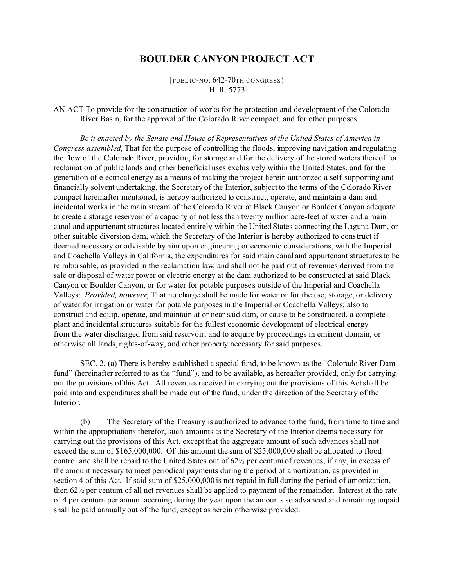## **BOULDER CANYON PROJECT ACT**

[PUBL IC-NO. 642-70TH CONGRESS) [H. R. 5773]

AN ACT To provide for the construction of works for the protection and development of the Colorado River Basin, for the approval of the Colorado River compact, and for other purposes.

*Be it enacted by the Senate and House of Representatives of the United States of America in Congress assembled*, That for the purpose of controlling the floods, improving navigation and regulating the flow of the Colorado River, providing for storage and for the delivery of the stored waters thereof for reclamation of public lands and other beneficial uses exclusively within the United States, and for the generation of electrical energy as a means of making the project herein authorized a self-supporting and financially solvent undertaking, the Secretary of the Interior, subject to the terms of the Colorado River compact hereinafter mentioned, is hereby authorized to construct, operate, and maintain a dam and incidental works in the main stream of the Colorado River at Black Canyon or Boulder Canyon adequate to create a storage reservoir of a capacity of not less than twenty million acre-feet of water and a main canal and appurtenant structures located entirely within the United States connecting the Laguna Dam, or other suitable diversion dam, which the Secretary of the Interior is hereby authorized to construct if deemed necessary or advisable by him upon engineering or economic considerations, with the Imperial and Coachella Valleys in California, the expenditures for said main canal and appurtenant structures to be reimbursable, as provided in the reclamation law, and shall not be paid out of revenues derived from the sale or disposal of water power or electric energy at the dam authorized to be constructed at said Black Canyon or Boulder Canyon, or for water for potable purposes outside of the Imperial and Coachella Valleys: *Provided, however*, That no charge shall be made for water or for the use, storage, or delivery of water for irrigation or water for potable purposes in the Imperial or Coachella Valleys; also to construct and equip, operate, and maintain at or near said dam, or cause to be constructed, a complete plant and incidental structures suitable for the fullest economic development of electrical energy from the water discharged from said reservoir; and to acquire by proceedings in eminent domain, or otherwise all lands, rights-of-way, and other property necessary for said purposes.

SEC. 2. (a) There is hereby established a special fund, to be known as the "Colorado River Dam fund" (hereinafter referred to as the "fund"), and to be available, as hereafter provided, only for carrying out the provisions of this Act. All revenues received in carrying out the provisions of this Act shall be paid into and expenditures shall be made out of the fund, under the direction of the Secretary of the Interior.

(b) The Secretary of the Treasury is authorized to advance to the fund, from time to time and within the appropriations therefor, such amounts as the Secretary of the Interior deems necessary for carrying out the provisions of this Act, except that the aggregate amount of such advances shall not exceed the sum of \$165,000,000. Of this amount the sum of \$25,000,000 shall be allocated to flood control and shall be repaid to the United States out of 62½ per centum of revenues, if any, in excess of the amount necessary to meet periodical payments during the period of amortization, as provided in section 4 of this Act. If said sum of \$25,000,000 is not repaid in full during the period of amortization, then 62½ per centum of all net revenues shall be applied to payment of the remainder. Interest at the rate of 4 per centum per annum accruing during the year upon the amounts so advanced and remaining unpaid shall be paid annually out of the fund, except as herein otherwise provided.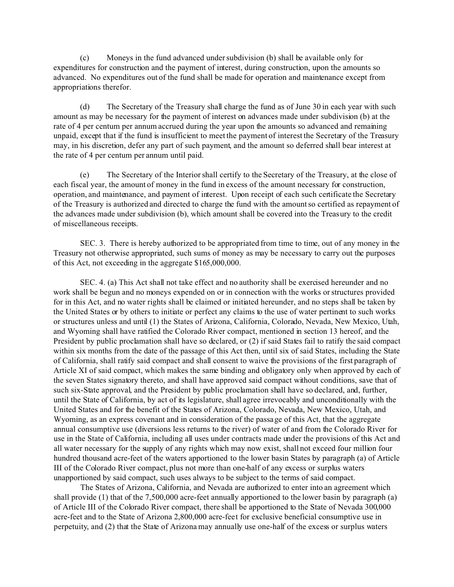(c) Moneys in the fund advanced under subdivision (b) shall be available only for expenditures for construction and the payment of interest, during construction, upon the amounts so advanced. No expenditures out of the fund shall be made for operation and maintenance except from appropriations therefor.

(d) The Secretary of the Treasury shall charge the fund as of June 30 in each year with such amount as may be necessary for the payment of interest on advances made under subdivision (b) at the rate of 4 per centum per annum accrued during the year upon the amounts so advanced and remaining unpaid, except that if the fund is insufficient to meet the payment of interest the Secretary of the Treasury may, in his discretion, defer any part of such payment, and the amount so deferred shall bear interest at the rate of 4 per centum per annum until paid.

(e) The Secretary of the Interior shall certify to the Secretary of the Treasury, at the close of each fiscal year, the amount of money in the fund in excess of the amount necessary for construction, operation, and maintenance, and payment of interest. Upon receipt of each such certificate the Secretary of the Treasury is authorized and directed to charge the fund with the amount so certified as repayment of the advances made under subdivision (b), which amount shall be covered into the Treasury to the credit of miscellaneous receipts.

SEC. 3. There is hereby authorized to be appropriated from time to time, out of any money in the Treasury not otherwise appropriated, such sums of money as may be necessary to carry out the purposes of this Act, not exceeding in the aggregate \$165,000,000.

SEC. 4. (a) This Act shall not take effect and no authority shall be exercised hereunder and no work shall be begun and no moneys expended on or in connection with the works or structures provided for in this Act, and no water rights shall be claimed or initiated hereunder, and no steps shall be taken by the United States or by others to initiate or perfect any claims to the use of water pertinent to such works or structures unless and until (1) the States of Arizona, California, Colorado, Nevada, New Mexico, Utah, and Wyoming shall have ratified the Colorado River compact, mentioned in section 13 hereof, and the President by public proclamation shall have so declared, or (2) if said States fail to ratify the said compact within six months from the date of the passage of this Act then, until six of said States, including the State of California, shall ratify said compact and shall consent to waive the provisions of the first paragraph of Article XI of said compact, which makes the same binding and obligatory only when approved by each of the seven States signatory thereto, and shall have approved said compact without conditions, save that of such six-State approval, and the President by public proclamation shall have so declared, and, further, until the State of California, by act of its legislature, shall agree irrevocably and unconditionally with the United States and for the benefit of the States of Arizona, Colorado, Nevada, New Mexico, Utah, and Wyoming, as an express covenant and in consideration of the passage of this Act, that the aggregate annual consumptive use (diversions less returns to the river) of water of and from the Colorado River for use in the State of California, including all uses under contracts made under the provisions of this Act and all water necessary for the supply of any rights which may now exist, shall not exceed four million four hundred thousand acre-feet of the waters apportioned to the lower basin States by paragraph (a) of Article III of the Colorado River compact, plus not more than one-half of any excess or surplus waters unapportioned by said compact, such uses always to be subject to the terms of said compact.

The States of Arizona, California, and Nevada are authorized to enter into an agreement which shall provide (1) that of the 7,500,000 acre-feet annually apportioned to the lower basin by paragraph (a) of Article III of the Colorado River compact, there shall be apportioned to the State of Nevada 300,000 acre-feet and to the State of Arizona 2,800,000 acre-feet for exclusive beneficial consumptive use in perpetuity, and (2) that the State of Arizona may annually use one-half of the excess or surplus waters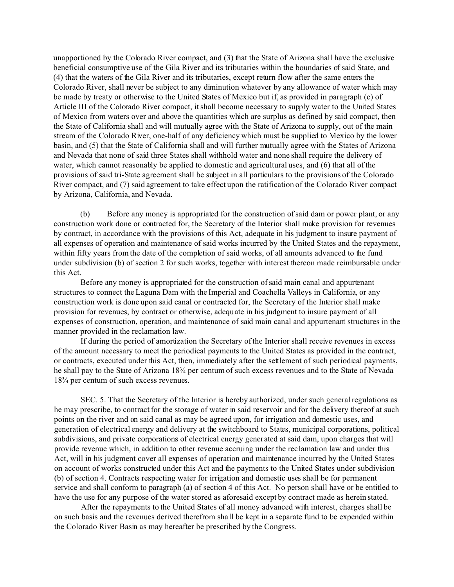unapportioned by the Colorado River compact, and (3) that the State of Arizona shall have the exclusive beneficial consumptive use of the Gila River and its tributaries within the boundaries of said State, and (4) that the waters of the Gila River and its tributaries, except return flow after the same enters the Colorado River, shall never be subject to any diminution whatever by any allowance of water which may be made by treaty or otherwise to the United States of Mexico but if, as provided in paragraph (c) of Article III of the Colorado River compact, it shall become necessary to supply water to the United States of Mexico from waters over and above the quantities which are surplus as defined by said compact, then the State of California shall and will mutually agree with the State of Arizona to supply, out of the main stream of the Colorado River, one-half of any deficiency which must be supplied to Mexico by the lower basin, and (5) that the State of California shall and will further mutually agree with the States of Arizona and Nevada that none of said three States shall withhold water and none shall require the delivery of water, which cannot reasonably be applied to domestic and agricultural uses, and (6) that all of the provisions of said tri-State agreement shall be subject in all particulars to the provisions of the Colorado River compact, and (7) said agreement to take effect upon the ratification of the Colorado River compact by Arizona, California, and Nevada.

(b) Before any money is appropriated for the construction of said dam or power plant, or any construction work done or contracted for, the Secretary of the Interior shall make provision for revenues by contract, in accordance with the provisions of this Act, adequate in his judgment to insure payment of all expenses of operation and maintenance of said works incurred by the United States and the repayment, within fifty years from the date of the completion of said works, of all amounts advanced to the fund under subdivision (b) of section 2 for such works, together with interest thereon made reimbursable under this Act.

Before any money is appropriated for the construction of said main canal and appurtenant structures to connect the Laguna Dam with the Imperial and Coachella Valleys in California, or any construction work is done upon said canal or contracted for, the Secretary of the Interior shall make provision for revenues, by contract or otherwise, adequate in his judgment to insure payment of all expenses of construction, operation, and maintenance of said main canal and appurtenant structures in the manner provided in the reclamation law.

If during the period of amortization the Secretary of the Interior shall receive revenues in excess of the amount necessary to meet the periodical payments to the United States as provided in the contract, or contracts, executed under this Act, then, immediately after the settlement of such periodical payments, he shall pay to the State of Arizona 18¾ per centum of such excess revenues and to the State of Nevada 18¾ per centum of such excess revenues.

SEC. 5. That the Secretary of the Interior is hereby authorized, under such general regulations as he may prescribe, to contract for the storage of water in said reservoir and for the delivery thereof at such points on the river and on said canal as may be agreed upon, for irrigation and domestic uses, and generation of electrical energy and delivery at the switchboard to States, municipal corporations, political subdivisions, and private corporations of electrical energy generated at said dam, upon charges that will provide revenue which, in addition to other revenue accruing under the reclamation law and under this Act, will in his judgment cover all expenses of operation and maintenance incurred by the United States on account of works constructed under this Act and the payments to the United States under subdivision (b) of section 4. Contracts respecting water for irrigation and domestic uses shall be for permanent service and shall conform to paragraph (a) of section 4 of this Act. No person shall have or be entitled to have the use for any purpose of the water stored as aforesaid except by contract made as herein stated.

After the repayments to the United States of all money advanced with interest, charges shall be on such basis and the revenues derived therefrom shall be kept in a separate fund to be expended within the Colorado River Basin as may hereafter be prescribed by the Congress.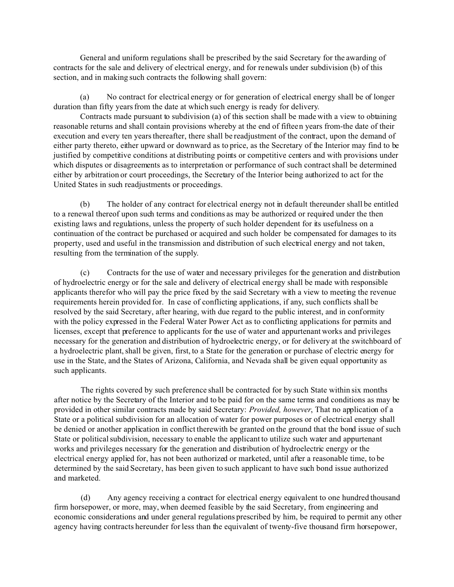General and uniform regulations shall be prescribed by the said Secretary for the awarding of contracts for the sale and delivery of electrical energy, and for renewals under subdivision (b) of this section, and in making such contracts the following shall govern:

(a) No contract for electrical energy or for generation of electrical energy shall be of longer duration than fifty years from the date at which such energy is ready for delivery.

Contracts made pursuant to subdivision (a) of this section shall be made with a view to obtaining reasonable returns and shall contain provisions whereby at the end of fifteen years from-the date of their execution and every ten years thereafter, there shall be readjustment of the contract, upon the demand of either party thereto, either upward or downward as to price, as the Secretary of the Interior may find to be justified by competitive conditions at distributing points or competitive centers and with provisions under which disputes or disagreements as to interpretation or performance of such contract shall be determined either by arbitration or court proceedings, the Secretary of the Interior being authorized to act for the United States in such readjustments or proceedings.

(b) The holder of any contract for electrical energy not in default thereunder shall be entitled to a renewal thereof upon such terms and conditions as may be authorized or required under the then existing laws and regulations, unless the property of such holder dependent for its usefulness on a continuation of the contract be purchased or acquired and such holder be compensated for damages to its property, used and useful in the transmission and distribution of such electrical energy and not taken, resulting from the termination of the supply.

(c) Contracts for the use of water and necessary privileges for the generation and distribution of hydroelectric energy or for the sale and delivery of electrical energy shall be made with responsible applicants therefor who will pay the price fixed by the said Secretary with a view to meeting the revenue requirements herein provided for. In case of conflicting applications, if any, such conflicts shall be resolved by the said Secretary, after hearing, with due regard to the public interest, and in conformity with the policy expressed in the Federal Water Power Act as to conflicting applications for permits and licenses, except that preference to applicants for the use of water and appurtenant works and privileges necessary for the generation and distribution of hydroelectric energy, or for delivery at the switchboard of a hydroelectric plant, shall be given, first, to a State for the generation or purchase of electric energy for use in the State, and the States of Arizona, California, and Nevada shall be given equal opportunity as such applicants.

The rights covered by such preference shall be contracted for by such State within six months after notice by the Secretary of the Interior and to be paid for on the same terms and conditions as may be provided in other similar contracts made by said Secretary: *Provided, however*, That no application of a State or a political subdivision for an allocation of water for power purposes or of electrical energy shall be denied or another application in conflict therewith be granted on the ground that the bond issue of such State or political subdivision, necessary to enable the applicant to utilize such water and appurtenant works and privileges necessary for the generation and distribution of hydroelectric energy or the electrical energy applied for, has not been authorized or marketed, until after a reasonable time, to be determined by the said Secretary, has been given to such applicant to have such bond issue authorized and marketed.

(d) Any agency receiving a contract for electrical energy equivalent to one hundred thousand firm horsepower, or more, may, when deemed feasible by the said Secretary, from engineering and economic considerations and under general regulations prescribed by him, be required to permit any other agency having contracts hereunder for less than the equivalent of twenty-five thousand firm horsepower,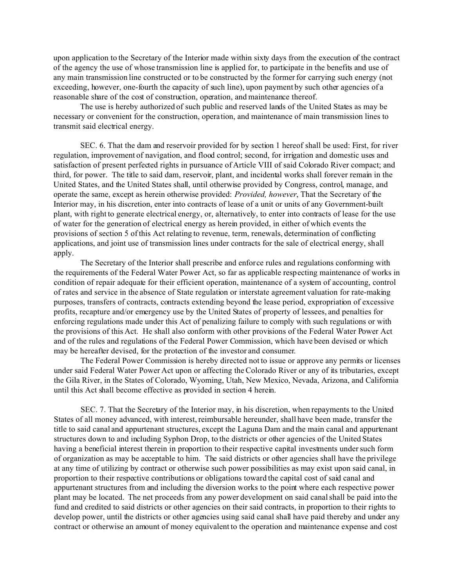upon application to the Secretary of the Interior made within sixty days from the execution of the contract of the agency the use of whose transmission line is applied for, to participate in the benefits and use of any main transmission line constructed or to be constructed by the former for carrying such energy (not exceeding, however, one-fourth the capacity of such line), upon payment by such other agencies of a reasonable share of the cost of construction, operation, and maintenance thereof.

The use is hereby authorized of such public and reserved lands of the United States as may be necessary or convenient for the construction, operation, and maintenance of main transmission lines to transmit said electrical energy.

SEC. 6. That the dam and reservoir provided for by section 1 hereof shall be used: First, for river regulation, improvement of navigation, and flood control; second, for irrigation and domestic uses and satisfaction of present perfected rights in pursuance of Article VIII of said Colorado River compact; and third, for power. The title to said dam, reservoir, plant, and incidental works shall forever remain in the United States, and the United States shall, until otherwise provided by Congress, control, manage, and operate the same, except as herein otherwise provided: *Provided, however*, That the Secretary of the Interior may, in his discretion, enter into contracts of lease of a unit or units of any Government-built plant, with right to generate electrical energy, or, alternatively, to enter into contracts of lease for the use of water for the generation of electrical energy as herein provided, in either of which events the provisions of section 5 of this Act relating to revenue, term, renewals, determination of conflicting applications, and joint use of transmission lines under contracts for the sale of electrical energy, shall apply.

The Secretary of the Interior shall prescribe and enforce rules and regulations conforming with the requirements of the Federal Water Power Act, so far as applicable respecting maintenance of works in condition of repair adequate for their efficient operation, maintenance of a system of accounting, control of rates and service in the absence of State regulation or interstate agreement valuation for rate-making purposes, transfers of contracts, contracts extending beyond the lease period, expropriation of excessive profits, recapture and/or emergency use by the United States of property of lessees, and penalties for enforcing regulations made under this Act of penalizing failure to comply with such regulations or with the provisions of this Act. He shall also conform with other provisions of the Federal Water Power Act and of the rules and regulations of the Federal Power Commission, which have been devised or which may be hereafter devised, for the protection of the investor and consumer.

The Federal Power Commission is hereby directed not to issue or approve any permits or licenses under said Federal Water Power Act upon or affecting the Colorado River or any of its tributaries, except the Gila River, in the States of Colorado, Wyoming, Utah, New Mexico, Nevada, Arizona, and California until this Act shall become effective as provided in section 4 herein.

SEC. 7. That the Secretary of the Interior may, in his discretion, when repayments to the United States of all money advanced, with interest, reimbursable hereunder, shall have been made, transfer the title to said canal and appurtenant structures, except the Laguna Dam and the main canal and appurtenant structures down to and including Syphon Drop, to the districts or other agencies of the United States having a beneficial interest therein in proportion to their respective capital investments under such form of organization as may be acceptable to him. The said districts or other agencies shall have the privilege at any time of utilizing by contract or otherwise such power possibilities as may exist upon said canal, in proportion to their respective contributions or obligations toward the capital cost of said canal and appurtenant structures from and including the diversion works to the point where each respective power plant may be located. The net proceeds from any power development on said canal shall be paid into the fund and credited to said districts or other agencies on their said contracts, in proportion to their rights to develop power, until the districts or other agencies using said canal shall have paid thereby and under any contract or otherwise an amount of money equivalent to the operation and maintenance expense and cost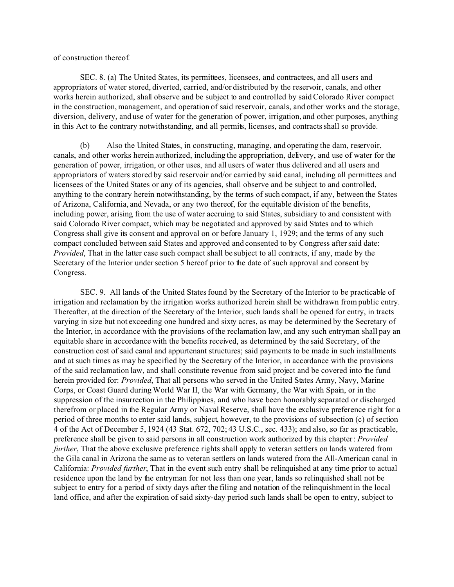## of construction thereof.

SEC. 8. (a) The United States, its permittees, licensees, and contractees, and all users and appropriators of water stored, diverted, carried, and/or distributed by the reservoir, canals, and other works herein authorized, shall observe and be subject to and controlled by said Colorado River compact in the construction, management, and operation of said reservoir, canals, and other works and the storage, diversion, delivery, and use of water for the generation of power, irrigation, and other purposes, anything in this Act to the contrary notwithstanding, and all permits, licenses, and contracts shall so provide.

(b) Also the United States, in constructing, managing, and operating the dam, reservoir, canals, and other works herein authorized, including the appropriation, delivery, and use of water for the generation of power, irrigation, or other uses, and all users of water thus delivered and all users and appropriators of waters stored by said reservoir and/or carried by said canal, including all permittees and licensees of the United States or any of its agencies, shall observe and be subject to and controlled, anything to the contrary herein notwithstanding, by the terms of such compact, if any, between the States of Arizona, California, and Nevada, or any two thereof, for the equitable division of the benefits, including power, arising from the use of water accruing to said States, subsidiary to and consistent with said Colorado River compact, which may be negotiated and approved by said States and to which Congress shall give its consent and approval on or before January 1, 1929; and the terms of any such compact concluded between said States and approved and consented to by Congress after said date: *Provided*, That in the latter case such compact shall be subject to all contracts, if any, made by the Secretary of the Interior under section 5 hereof prior to the date of such approval and consent by Congress.

SEC. 9. All lands of the United States found by the Secretary of the Interior to be practicable of irrigation and reclamation by the irrigation works authorized herein shall be withdrawn from public entry. Thereafter, at the direction of the Secretary of the Interior, such lands shall be opened for entry, in tracts varying in size but not exceeding one hundred and sixty acres, as may be determined by the Secretary of the Interior, in accordance with the provisions of the reclamation law, and any such entryman shall pay an equitable share in accordance with the benefits received, as determined by the said Secretary, of the construction cost of said canal and appurtenant structures; said payments to be made in such installments and at such times as may be specified by the Secretary of the Interior, in accordance with the provisions of the said reclamation law, and shall constitute revenue from said project and be covered into the fund herein provided for: *Provided*, That all persons who served in the United States Army, Navy, Marine Corps, or Coast Guard during World War II, the War with Germany, the War with Spain, or in the suppression of the insurrection in the Philippines, and who have been honorably separated or discharged therefrom or placed in the Regular Army or Naval Reserve, shall have the exclusive preference right for a period of three months to enter said lands, subject, however, to the provisions of subsection (c) of section 4 of the Act of December 5, 1924 (43 Stat. 672, 702; 43 U.S.C., sec. 433); and also, so far as practicable, preference shall be given to said persons in all construction work authorized by this chapter: *Provided further*, That the above exclusive preference rights shall apply to veteran settlers on lands watered from the Gila canal in Arizona the same as to veteran settlers on lands watered from the All-American canal in California: *Provided further*, That in the event such entry shall be relinquished at any time prior to actual residence upon the land by the entryman for not less than one year, lands so relinquished shall not be subject to entry for a period of sixty days after the filing and notation of the relinquishment in the local land office, and after the expiration of said sixty-day period such lands shall be open to entry, subject to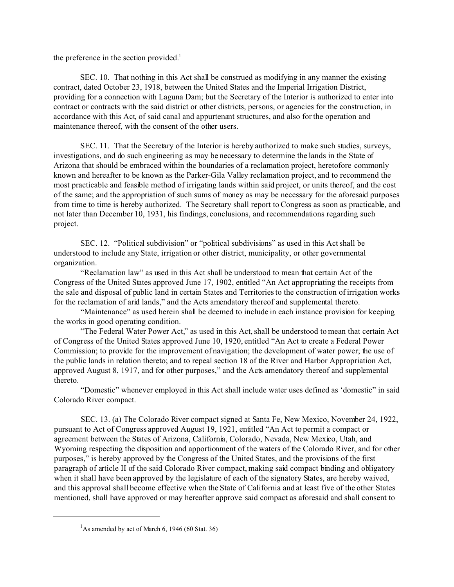the preference in the section provided.<sup>1</sup>

SEC. 10. That nothing in this Act shall be construed as modifying in any manner the existing contract, dated October 23, 1918, between the United States and the Imperial Irrigation District, providing for a connection with Laguna Dam; but the Secretary of the Interior is authorized to enter into contract or contracts with the said district or other districts, persons, or agencies for the construction, in accordance with this Act, of said canal and appurtenant structures, and also for the operation and maintenance thereof, with the consent of the other users.

SEC. 11. That the Secretary of the Interior is hereby authorized to make such studies, surveys, investigations, and do such engineering as may be necessary to determine the lands in the State of Arizona that should be embraced within the boundaries of a reclamation project, heretofore commonly known and hereafter to be known as the Parker-Gila Valley reclamation project, and to recommend the most practicable and feasible method of irrigating lands within said project, or units thereof, and the cost of the same; and the appropriation of such sums of money as may be necessary for the aforesaid purposes from time to time is hereby authorized. The Secretary shall report to Congress as soon as practicable, and not later than December 10, 1931, his findings, conclusions, and recommendations regarding such project.

SEC. 12. "Political subdivision" or "political subdivisions" as used in this Act shall be understood to include any State, irrigation or other district, municipality, or other governmental organization.

"Reclamation law" as used in this Act shall be understood to mean that certain Act of the Congress of the United States approved June 17, 1902, entitled "An Act appropriating the receipts from the sale and disposal of public land in certain States and Territories to the construction of irrigation works for the reclamation of arid lands," and the Acts amendatory thereof and supplemental thereto.

"Maintenance" as used herein shall be deemed to include in each instance provision for keeping the works in good operating condition.

"The Federal Water Power Act," as used in this Act, shall be understood to mean that certain Act of Congress of the United States approved June 10, 1920, entitled "An Act to create a Federal Power Commission; to provide for the improvement of navigation; the development of water power; the use of the public lands in relation thereto; and to repeal section 18 of the River and Harbor Appropriation Act, approved August 8, 1917, and for other purposes," and the Acts amendatory thereof and supplemental thereto.

"Domestic" whenever employed in this Act shall include water uses defined as 'domestic" in said Colorado River compact.

SEC. 13. (a) The Colorado River compact signed at Santa Fe, New Mexico, November 24, 1922, pursuant to Act of Congress approved August 19, 1921, entitled "An Act to permit a compact or agreement between the States of Arizona, California, Colorado, Nevada, New Mexico, Utah, and Wyoming respecting the disposition and apportionment of the waters of the Colorado River, and for other purposes," is hereby approved by the Congress of the United States, and the provisions of the first paragraph of article II of the said Colorado River compact, making said compact binding and obligatory when it shall have been approved by the legislature of each of the signatory States, are hereby waived, and this approval shall become effective when the State of California and at least five of the other States mentioned, shall have approved or may hereafter approve said compact as aforesaid and shall consent to

<sup>&</sup>lt;sup>1</sup>As amended by act of March 6, 1946 (60 Stat. 36)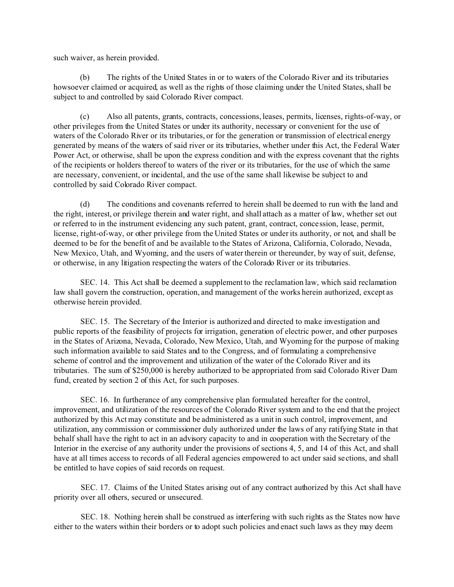such waiver, as herein provided.

(b) The rights of the United States in or to waters of the Colorado River and its tributaries howsoever claimed or acquired, as well as the rights of those claiming under the United States, shall be subject to and controlled by said Colorado River compact.

(c) Also all patents, grants, contracts, concessions, leases, permits, licenses, rights-of-way, or other privileges from the United States or under its authority, necessary or convenient for the use of waters of the Colorado River or its tributaries, or for the generation or transmission of electrical energy generated by means of the waters of said river or its tributaries, whether under this Act, the Federal Water Power Act, or otherwise, shall be upon the express condition and with the express covenant that the rights of the recipients or holders thereof to waters of the river or its tributaries, for the use of which the same are necessary, convenient, or incidental, and the use of the same shall likewise be subject to and controlled by said Colorado River compact.

(d) The conditions and covenants referred to herein shall be deemed to run with the land and the right, interest, or privilege therein and water right, and shall attach as a matter of law, whether set out or referred to in the instrument evidencing any such patent, grant, contract, concession, lease, permit, license, right-of-way, or other privilege from the United States or under its authority, or not, and shall be deemed to be for the benefit of and be available to the States of Arizona, California, Colorado, Nevada, New Mexico, Utah, and Wyoming, and the users of water therein or thereunder, by way of suit, defense, or otherwise, in any litigation respecting the waters of the Colorado River or its tributaries.

SEC. 14. This Act shall be deemed a supplement to the reclamation law, which said reclamation law shall govern the construction, operation, and management of the works herein authorized, except as otherwise herein provided.

SEC. 15. The Secretary of the Interior is authorized and directed to make investigation and public reports of the feasibility of projects for irrigation, generation of electric power, and other purposes in the States of Arizona, Nevada, Colorado, New Mexico, Utah, and Wyoming for the purpose of making such information available to said States and to the Congress, and of formulating a comprehensive scheme of control and the improvement and utilization of the water of the Colorado River and its tributaries. The sum of \$250,000 is hereby authorized to be appropriated from said Colorado River Dam fund, created by section 2 of this Act, for such purposes.

SEC. 16. In furtherance of any comprehensive plan formulated hereafter for the control, improvement, and utilization of the resources of the Colorado River system and to the end that the project authorized by this Act may constitute and be administered as a unit in such control, improvement, and utilization, any commission or commissioner duly authorized under the laws of any ratifying State in that behalf shall have the right to act in an advisory capacity to and in cooperation with the Secretary of the Interior in the exercise of any authority under the provisions of sections 4, 5, and 14 of this Act, and shall have at all times access to records of all Federal agencies empowered to act under said sections, and shall be entitled to have copies of said records on request.

SEC. 17. Claims of the United States arising out of any contract authorized by this Act shall have priority over all others, secured or unsecured.

SEC. 18. Nothing herein shall be construed as interfering with such rights as the States now have either to the waters within their borders or to adopt such policies and enact such laws as they may deem